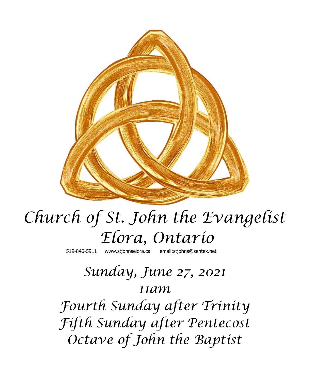

# *Church of St. John the Evangelist Elora, Ontario*

519-846-5911 [www.stjohnselora.ca email:stjohns@sentex.net](http://www.stjohnselora.ca%20%20%20%20%20%20email:stjohns@sentex.net)

## *Sunday, June 27, 2021 11am*

*Fourth Sunday after Trinity Fifth Sunday after Pentecost Octave of John the Baptist*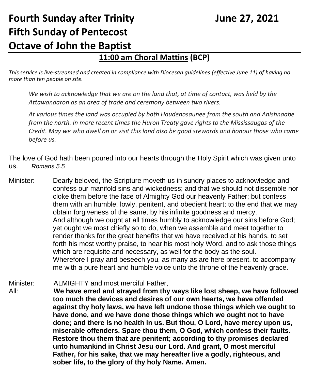### **Fourth Sunday after Trinity France 27, 2021 Fifth Sunday of Pentecost Octave of John the Baptist**

#### **11:00 am Choral Mattins (BCP)**

*This service is live-streamed and created in compliance with Diocesan guidelines (effective June 11) of having no more than ten people on site.* 

*We wish to acknowledge that we are on the land that, at time of contact, was held by the Attawandaron as an area of trade and ceremony between two rivers.*

*At various times the land was occupied by both Haudenosaunee from the south and Anishnaabe from the north. In more recent times the Huron Treaty gave rights to the Mississaugas of the Credit. May we who dwell on or visit this land also be good stewards and honour those who came before us.*

The love of God hath been poured into our hearts through the Holy Spirit which was given unto us. *Romans 5.5*

- Minister: Dearly beloved, the Scripture moveth us in sundry places to acknowledge and confess our manifold sins and wickedness; and that we should not dissemble nor cloke them before the face of Almighty God our heavenly Father; but confess them with an humble, lowly, penitent, and obedient heart; to the end that we may obtain forgiveness of the same, by his infinite goodness and mercy. And although we ought at all times humbly to acknowledge our sins before God; yet ought we most chiefly so to do, when we assemble and meet together to render thanks for the great benefits that we have received at his hands, to set forth his most worthy praise, to hear his most holy Word, and to ask those things which are requisite and necessary, as well for the body as the soul. Wherefore I pray and beseech you, as many as are here present, to accompany me with a pure heart and humble voice unto the throne of the heavenly grace.
- Minister: ALMIGHTY and most merciful Father, All: **We have erred and strayed from thy ways like lost sheep, we have followed too much the devices and desires of our own hearts, we have offended against thy holy laws, we have left undone those things which we ought to have done, and we have done those things which we ought not to have done; and there is no health in us. But thou, O Lord, have mercy upon us, miserable offenders. Spare thou them, O God, which confess their faults. Restore thou them that are penitent; according to thy promises declared unto humankind in Christ Jesu our Lord. And grant, O most merciful Father, for his sake, that we may hereafter live a godly, righteous, and sober life, to the glory of thy holy Name. Amen.**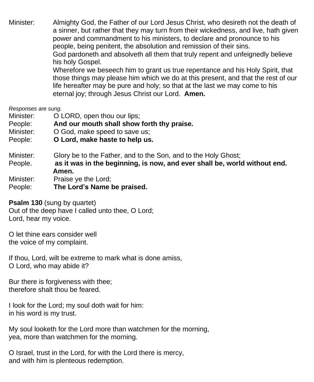Minister: Almighty God, the Father of our Lord Jesus Christ, who desireth not the death of a sinner, but rather that they may turn from their wickedness, and live, hath given power and commandment to his ministers, to declare and pronounce to his people, being penitent, the absolution and remission of their sins. God pardoneth and absolveth all them that truly repent and unfeignedly believe his holy Gospel. Wherefore we beseech him to grant us true repentance and his Holy Spirit, that those things may please him which we do at this present, and that the rest of our life hereafter may be pure and holy; so that at the last we may come to his eternal joy; through Jesus Christ our Lord. **Amen.**

*Responses are sung.*

- Minister: **O LORD**, open thou our lips;
- People: **And our mouth shall show forth thy praise.**
- Minister:  $O God$  make speed to save us:
- People: **O Lord, make haste to help us.**

Minister: Glory be to the Father, and to the Son, and to the Holy Ghost;

- People. **as it was in the beginning, is now, and ever shall be, world without end. Amen.**
- Minister: Praise ye the Lord;

People: **The Lord's Name be praised.**

**Psalm 130** (sung by quartet)

Out of the deep have I called unto thee, O Lord; Lord, hear my voice.

O let thine ears consider well the voice of my complaint.

If thou, Lord, wilt be extreme to mark what is done amiss, O Lord, who may abide it?

Bur there is forgiveness with thee; therefore shalt thou be feared.

I look for the Lord; my soul doth wait for him: in his word is my trust.

My soul looketh for the Lord more than watchmen for the morning, yea, more than watchmen for the morning.

O Israel, trust in the Lord, for with the Lord there is mercy, and with him is plenteous redemption.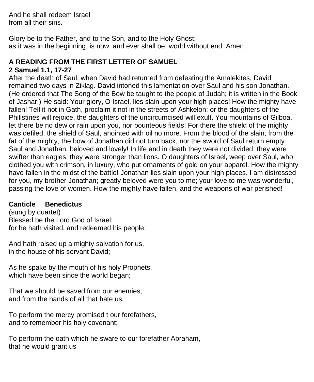And he shall redeem Israel from all their sins.

Glory be to the Father, and to the Son, and to the Holy Ghost; as it was in the beginning, is now, and ever shall be, world without end. Amen.

### **A READING FROM THE FIRST LETTER OF SAMUEL**

#### **2 Samuel 1.1, 17-27**

After the death of Saul, when David had returned from defeating the Amalekites, David remained two days in Ziklag. David intoned this lamentation over Saul and his son Jonathan. (He ordered that The Song of the Bow be taught to the people of Judah; it is written in the Book of Jashar.) He said: Your glory, O Israel, lies slain upon your high places! How the mighty have fallen! Tell it not in Gath, proclaim it not in the streets of Ashkelon; or the daughters of the Philistines will rejoice, the daughters of the uncircumcised will exult. You mountains of Gilboa, let there be no dew or rain upon you, nor bounteous fields! For there the shield of the mighty was defiled, the shield of Saul, anointed with oil no more. From the blood of the slain, from the fat of the mighty, the bow of Jonathan did not turn back, nor the sword of Saul return empty. Saul and Jonathan, beloved and lovely! In life and in death they were not divided; they were swifter than eagles, they were stronger than lions. O daughters of Israel, weep over Saul, who clothed you with crimson, in luxury, who put ornaments of gold on your apparel. How the mighty have fallen in the midst of the battle! Jonathan lies slain upon your high places. I am distressed for you, my brother Jonathan; greatly beloved were you to me; your love to me was wonderful, passing the love of women. How the mighty have fallen, and the weapons of war perished!

#### **Canticle Benedictus**

(sung by quartet) Blessed be the Lord God of Israel; for he hath visited, and redeemed his people;

And hath raised up a mighty salvation for us, in the house of his servant David;

As he spake by the mouth of his holy Prophets, which have been since the world began;

That we should be saved from our enemies, and from the hands of all that hate us;

To perform the mercy promised t our forefathers, and to remember his holy covenant;

To perform the oath which he sware to our forefather Abraham, that he would grant us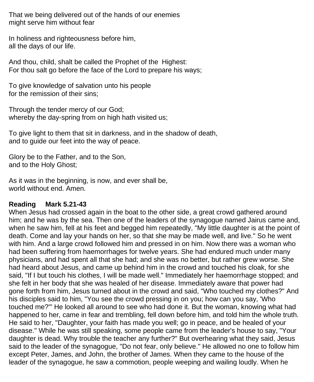That we being delivered out of the hands of our enemies might serve him without fear

In holiness and righteousness before him, all the days of our life.

And thou, child, shalt be called the Prophet of the Highest: For thou salt go before the face of the Lord to prepare his ways;

To give knowledge of salvation unto his people for the remission of their sins;

Through the tender mercy of our God; whereby the day-spring from on high hath visited us;

To give light to them that sit in darkness, and in the shadow of death, and to guide our feet into the way of peace.

Glory be to the Father, and to the Son, and to the Holy Ghost;

As it was in the beginning, is now, and ever shall be, world without end. Amen.

#### **Reading Mark 5.21-43**

When Jesus had crossed again in the boat to the other side, a great crowd gathered around him; and he was by the sea. Then one of the leaders of the synagogue named Jairus came and, when he saw him, fell at his feet and begged him repeatedly, "My little daughter is at the point of death. Come and lay your hands on her, so that she may be made well, and live." So he went with him. And a large crowd followed him and pressed in on him. Now there was a woman who had been suffering from haemorrhages for twelve years. She had endured much under many physicians, and had spent all that she had; and she was no better, but rather grew worse. She had heard about Jesus, and came up behind him in the crowd and touched his cloak, for she said, "If I but touch his clothes, I will be made well." Immediately her haemorrhage stopped; and she felt in her body that she was healed of her disease. Immediately aware that power had gone forth from him, Jesus turned about in the crowd and said, "Who touched my clothes?" And his disciples said to him, "You see the crowd pressing in on you; how can you say, 'Who touched me?'" He looked all around to see who had done it. But the woman, knowing what had happened to her, came in fear and trembling, fell down before him, and told him the whole truth. He said to her, "Daughter, your faith has made you well; go in peace, and be healed of your disease." While he was still speaking, some people came from the leader's house to say, "Your daughter is dead. Why trouble the teacher any further?" But overhearing what they said, Jesus said to the leader of the synagogue, "Do not fear, only believe." He allowed no one to follow him except Peter, James, and John, the brother of James. When they came to the house of the leader of the synagogue, he saw a commotion, people weeping and wailing loudly. When he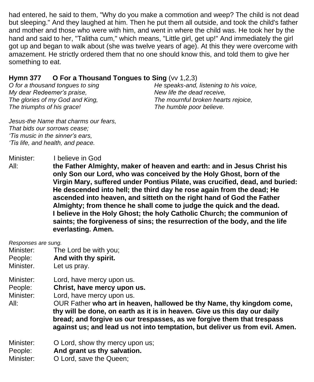had entered, he said to them, "Why do you make a commotion and weep? The child is not dead but sleeping." And they laughed at him. Then he put them all outside, and took the child's father and mother and those who were with him, and went in where the child was. He took her by the hand and said to her, "Talitha cum," which means, "Little girl, get up!" And immediately the girl got up and began to walk about (she was twelve years of age). At this they were overcome with amazement. He strictly ordered them that no one should know this, and told them to give her something to eat.

#### **Hymn 377 O For a Thousand Tongues to Sing** (vv 1,2,3)

*O for a thousand tongues to sing My dear Redeemer's praise, The glories of my God and King, The triumphs of his grace!*

*He speaks-and, listening to his voice, New life the dead receive, The mournful broken hearts rejoice, The humble poor believe.*

*Jesus-the Name that charms our fears, That bids our sorrows cease; 'Tis music in the sinner's ears, 'Tis life, and health, and peace.*

Minister: I believe in God

All: **the Father Almighty, maker of heaven and earth: and in Jesus Christ his only Son our Lord, who was conceived by the Holy Ghost, born of the Virgin Mary, suffered under Pontius Pilate, was crucified, dead, and buried: He descended into hell; the third day he rose again from the dead; He ascended into heaven, and sitteth on the right hand of God the Father Almighty; from thence he shall come to judge the quick and the dead. I believe in the Holy Ghost; the holy Catholic Church; the communion of saints; the forgiveness of sins; the resurrection of the body, and the life everlasting. Amen.**

*Responses are sung.*

- Minister: The Lord be with you;
- People: **And with thy spirit.**
- Minister. Let us pray.
- Minister: Lord, have mercy upon us.
- People: **Christ, have mercy upon us.**

Minister: Lord, have mercy upon us.

All: OUR Father **who art in heaven, hallowed be thy Name, thy kingdom come, thy will be done, on earth as it is in heaven. Give us this day our daily bread; and forgive us our trespasses, as we forgive them that trespass against us; and lead us not into temptation, but deliver us from evil. Amen.**

Minister: **O** Lord, show thy mercy upon us;

People: **And grant us thy salvation.**

Minister: O Lord, save the Queen;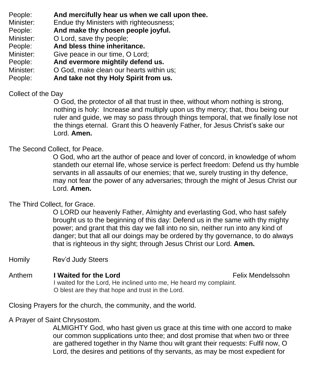- People: **And mercifully hear us when we call upon thee.**
- Minister: Endue thy Ministers with righteousness;
- People: **And make thy chosen people joyful.**
- Minister: O Lord, save thy people;
- People: **And bless thine inheritance.**
- Minister: Give peace in our time, O Lord;
- People: **And evermore mightily defend us.**
- Minister: **O God, make clean our hearts within us;**
- People: **And take not thy Holy Spirit from us.**

#### Collect of the Day

O God, the protector of all that trust in thee, without whom nothing is strong, nothing is holy: Increase and multiply upon us thy mercy; that, thou being our ruler and guide, we may so pass through things temporal, that we finally lose not the things eternal. Grant this O heavenly Father, for Jesus Christ's sake our Lord. **Amen.**

#### The Second Collect, for Peace.

O God, who art the author of peace and lover of concord, in knowledge of whom standeth our eternal life, whose service is perfect freedom: Defend us thy humble servants in all assaults of our enemies; that we, surely trusting in thy defence, may not fear the power of any adversaries; through the might of Jesus Christ our Lord. **Amen.**

#### The Third Collect, for Grace.

O LORD our heavenly Father, Almighty and everlasting God, who hast safely brought us to the beginning of this day: Defend us in the same with thy mighty power; and grant that this day we fall into no sin, neither run into any kind of danger; but that all our doings may be ordered by thy governance, to do always that is righteous in thy sight; through Jesus Christ our Lord. **Amen.**

Homily Rev'd Judy Steers

Anthem **I Waited for the Lord** Felix Mendelssohn I waited for the Lord, He inclined unto me, He heard my complaint. O blest are they that hope and trust in the Lord.

Closing Prayers for the church, the community, and the world.

A Prayer of Saint Chrysostom.

ALMIGHTY God, who hast given us grace at this time with one accord to make our common supplications unto thee; and dost promise that when two or three are gathered together in thy Name thou wilt grant their requests: Fulfil now, O Lord, the desires and petitions of thy servants, as may be most expedient for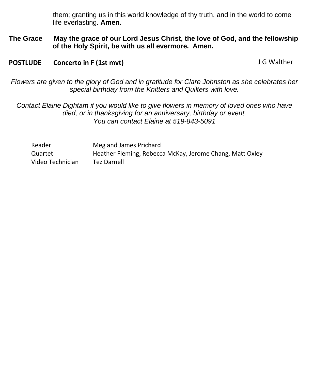them; granting us in this world knowledge of thy truth, and in the world to come life everlasting. **Amen.**

**The Grace May the grace of our Lord Jesus Christ, the love of God, and the fellowship of the Holy Spirit, be with us all evermore. Amen.**

**POSTLUDE** Concerto in F (1st mvt) **DETERTION** CONSTRUSTED SUBSERVIATE POSTLUDE

*Flowers are given to the glory of God and in gratitude for Clare Johnston as she celebrates her special birthday from the Knitters and Quilters with love.*

*Contact Elaine Dightam if you would like to give flowers in memory of loved ones who have died, or in thanksgiving for an anniversary, birthday or event. You can contact Elaine at 519-843-5091*

Reader Meg and James Prichard Quartet Heather Fleming, Rebecca McKay, Jerome Chang, Matt Oxley Video Technician Tez Darnell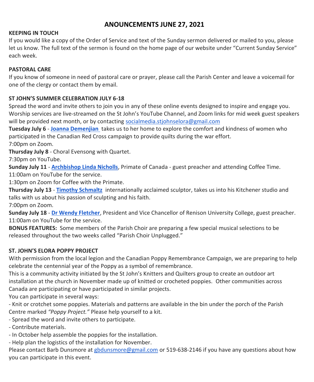#### **ANOUNCEMENTS JUNE 27, 2021**

#### **KEEPING IN TOUCH**

If you would like a copy of the Order of Service and text of the Sunday sermon delivered or mailed to you, please let us know. The full text of the sermon is found on the home page of our website under "Current Sunday Service" each week.

#### **PASTORAL CARE**

If you know of someone in need of pastoral care or prayer, please call the Parish Center and leave a voicemail for one of the clergy or contact them by email.

#### **ST JOHN'S SUMMER CELEBRATION JULY 6-18**

Spread the word and invite others to join you in any of these online events designed to inspire and engage you. Worship services are live-streamed on the St John's YouTube Channel, and Zoom links for mid week guest speakers will be provided next month, or by contacting [socialmedia.stjohnselora@gmail.com](mailto:socialmedia.stjohnselora@gmail.com)

**Tuesday July 6** - **[Joanna Demenjian](https://sutureandselvedge.com/about/)** takes us to her home to explore the comfort and kindness of women who participated in the Canadian Red Cross campaign to provide quilts during the war effort. 7:00pm on Zoom.

**Thursday July 8** - Choral Evensong with Quartet.

7:30pm on YouTube.

**Sunday July 11** - **[Archbishop Linda Nicholls](https://www.anglican.ca/primate/bio/)**, Primate of Canada - guest preacher and attending Coffee Time.

11:00am on YouTube for the service.

1:30pm on Zoom for Coffee with the Primate.

**Thursday July 13** - **[Timothy Schmaltz](https://www.sculpturebytps.com/)** internationally acclaimed sculptor, takes us into his Kitchener studio and talks with us about his passion of sculpting and his faith.

7:00pm on Zoom.

**Sunday July 18** - **[Dr Wendy Fletcher](https://uwaterloo.ca/renison/people-profiles/wendy-fletcher)**, President and Vice Chancellor of Renison University College, guest preacher. 11:00am on YouTube for the service.

**BONUS FEATURES:** Some members of the Parish Choir are preparing a few special musical selections to be released throughout the two weeks called "Parish Choir Unplugged."

#### **ST. JOHN'S ELORA POPPY PROJECT**

With permission from the local legion and the Canadian Poppy Remembrance Campaign, we are preparing to help celebrate the centennial year of the Poppy as a symbol of remembrance.

This is a community activity initiated by the St John's Knitters and Quilters group to create an outdoor art installation at the church in November made up of knitted or crocheted poppies. Other communities across Canada are participating or have participated in similar projects.

You can participate in several ways:

- Knit or crotchet some poppies. Materials and patterns are available in the bin under the porch of the Parish Centre marked *"Poppy Project."* Please help yourself to a kit.

- Spread the word and invite others to participate.

- Contribute materials.

- In October help assemble the poppies for the installation.

- Help plan the logistics of the installation for November.

Please contact Barb Dunsmore at [gbdunsmore@gmail.com](mailto:gbdunsmore@gmail.com) or 519-638-2146 if you have any questions about how you can participate in this event.